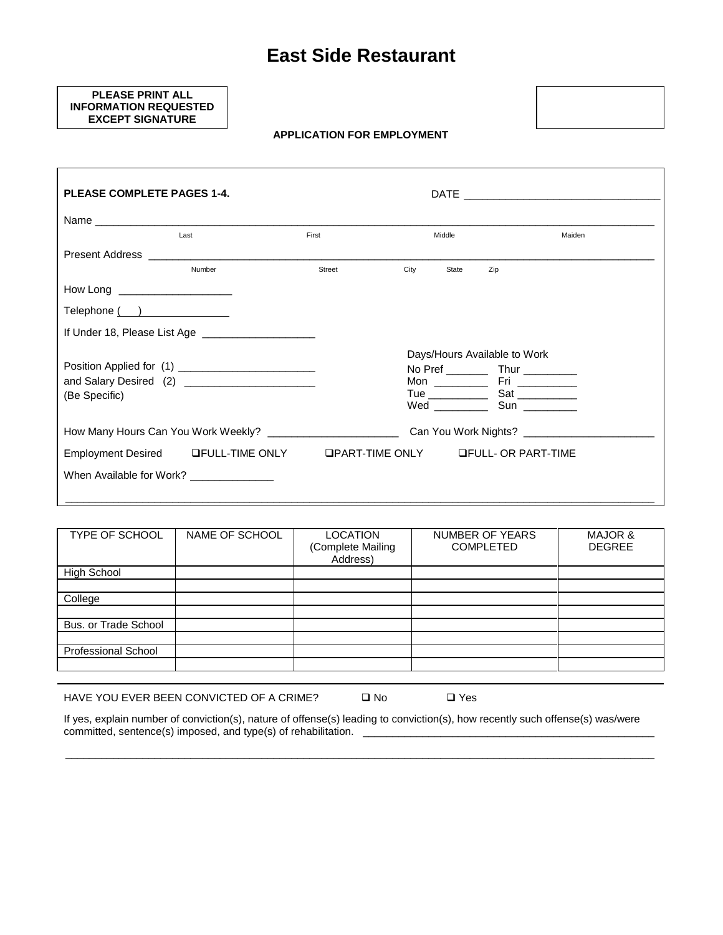## **East Side Restaurant**

## **PLEASE PRINT ALL INFORMATION REQUESTED EXCEPT SIGNATURE**

**APPLICATION FOR EMPLOYMENT**



| <b>PLEASE COMPLETE PAGES 1-4.</b> |                                                                |        |      |        |                                            |        |
|-----------------------------------|----------------------------------------------------------------|--------|------|--------|--------------------------------------------|--------|
|                                   |                                                                |        |      |        |                                            |        |
|                                   | Last                                                           | First  |      | Middle |                                            | Maiden |
|                                   |                                                                |        |      |        |                                            |        |
|                                   | Number                                                         | Street | City | State  | Zip                                        |        |
| How Long _______________________  |                                                                |        |      |        |                                            |        |
| Telephone ()                      |                                                                |        |      |        |                                            |        |
|                                   | If Under 18, Please List Age                                   |        |      |        |                                            |        |
|                                   |                                                                |        |      |        | Days/Hours Available to Work               |        |
|                                   |                                                                |        |      |        | No Pref ____________ Thur ___________      |        |
|                                   |                                                                |        |      |        |                                            |        |
| (Be Specific)                     |                                                                |        |      |        |                                            |        |
|                                   |                                                                |        |      |        |                                            |        |
|                                   | How Many Hours Can You Work Weekly? __________________________ |        |      |        |                                            |        |
|                                   | Employment Desired LFULL-TIME ONLY                             |        |      |        | <b>QPART-TIME ONLY GEULL- OR PART-TIME</b> |        |
|                                   | When Available for Work? _____________                         |        |      |        |                                            |        |
|                                   |                                                                |        |      |        |                                            |        |

| <b>TYPE OF SCHOOL</b>      | NAME OF SCHOOL | <b>LOCATION</b><br>(Complete Mailing<br>Address) | <b>NUMBER OF YEARS</b><br><b>COMPLETED</b> | <b>MAJOR &amp;</b><br><b>DEGREE</b> |
|----------------------------|----------------|--------------------------------------------------|--------------------------------------------|-------------------------------------|
| <b>High School</b>         |                |                                                  |                                            |                                     |
|                            |                |                                                  |                                            |                                     |
| College                    |                |                                                  |                                            |                                     |
|                            |                |                                                  |                                            |                                     |
| Bus. or Trade School       |                |                                                  |                                            |                                     |
|                            |                |                                                  |                                            |                                     |
| <b>Professional School</b> |                |                                                  |                                            |                                     |
|                            |                |                                                  |                                            |                                     |

HAVE YOU EVER BEEN CONVICTED OF A CRIME?  $\Box$  No  $\Box$  Yes

If yes, explain number of conviction(s), nature of offense(s) leading to conviction(s), how recently such offense(s) was/were committed, sentence(s) imposed, and type(s) of rehabilitation. \_\_\_\_\_\_\_\_\_\_\_\_\_\_\_\_\_\_\_\_\_\_\_\_\_\_\_\_\_\_\_\_\_\_\_\_\_\_\_\_\_\_\_\_\_\_\_\_\_

\_\_\_\_\_\_\_\_\_\_\_\_\_\_\_\_\_\_\_\_\_\_\_\_\_\_\_\_\_\_\_\_\_\_\_\_\_\_\_\_\_\_\_\_\_\_\_\_\_\_\_\_\_\_\_\_\_\_\_\_\_\_\_\_\_\_\_\_\_\_\_\_\_\_\_\_\_\_\_\_\_\_\_\_\_\_\_\_\_\_\_\_\_\_\_\_\_\_\_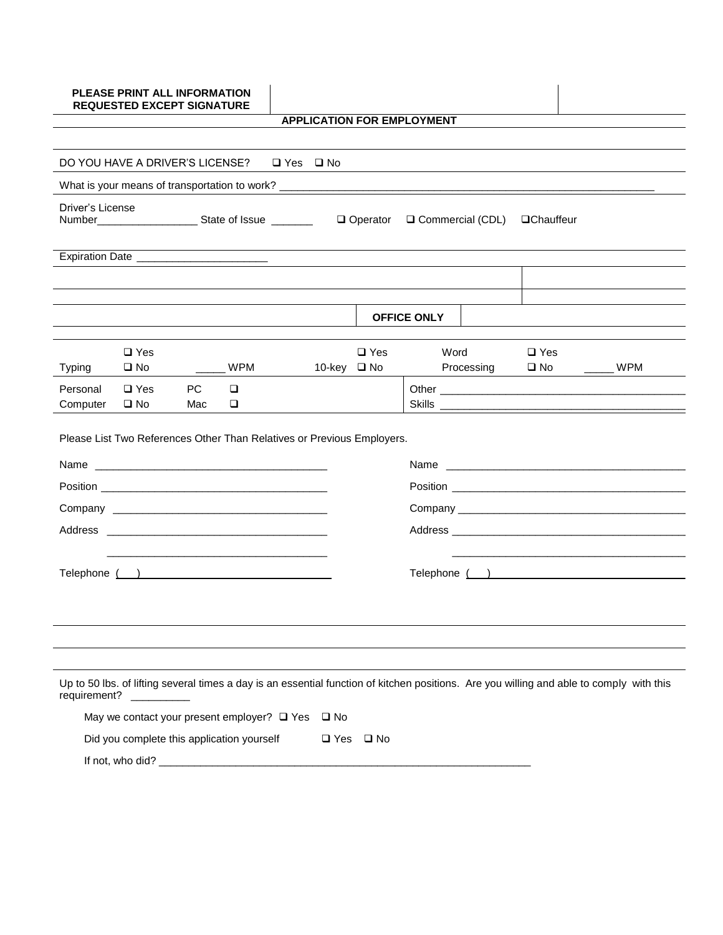|                      | <b>PLEASE PRINT ALL INFORMATION</b><br><b>REQUESTED EXCEPT SIGNATURE</b> |           |             |                      |                    |              |                                   |            |                            |                                                                                                                                          |
|----------------------|--------------------------------------------------------------------------|-----------|-------------|----------------------|--------------------|--------------|-----------------------------------|------------|----------------------------|------------------------------------------------------------------------------------------------------------------------------------------|
|                      |                                                                          |           |             |                      |                    |              | <b>APPLICATION FOR EMPLOYMENT</b> |            |                            |                                                                                                                                          |
|                      | DO YOU HAVE A DRIVER'S LICENSE?                                          |           |             | $\Box$ Yes $\Box$ No |                    |              |                                   |            |                            |                                                                                                                                          |
|                      |                                                                          |           |             |                      |                    |              |                                   |            |                            |                                                                                                                                          |
| Driver's License     |                                                                          |           |             |                      |                    |              |                                   |            | <b>QChauffeur</b>          |                                                                                                                                          |
|                      |                                                                          |           |             |                      |                    |              |                                   |            |                            |                                                                                                                                          |
|                      |                                                                          |           |             |                      |                    |              |                                   |            |                            |                                                                                                                                          |
|                      |                                                                          |           |             |                      |                    |              | <b>OFFICE ONLY</b>                |            |                            |                                                                                                                                          |
| <b>Typing</b>        | $\Box$ Yes<br>$\square$ No                                               |           | WPM         |                      | 10-key <b>□</b> No | $\Box$ Yes   | Word                              | Processing | $\Box$ Yes<br>$\square$ No | $\frac{1}{2}$ WPM                                                                                                                        |
| Personal<br>Computer | $\Box$ Yes<br>$\square$ No                                               | PC<br>Mac | $\Box$<br>❏ |                      |                    |              |                                   |            |                            | Skills                                                                                                                                   |
|                      | Please List Two References Other Than Relatives or Previous Employers.   |           |             |                      |                    |              |                                   |            |                            |                                                                                                                                          |
|                      |                                                                          |           |             |                      |                    |              |                                   |            |                            |                                                                                                                                          |
|                      |                                                                          |           |             |                      |                    |              |                                   |            |                            |                                                                                                                                          |
|                      |                                                                          |           |             |                      |                    |              |                                   |            |                            |                                                                                                                                          |
|                      |                                                                          |           |             |                      |                    |              |                                   |            |                            |                                                                                                                                          |
|                      | Telephone ( )                                                            |           |             |                      |                    |              |                                   |            |                            | Telephone ( )                                                                                                                            |
|                      |                                                                          |           |             |                      |                    |              |                                   |            |                            |                                                                                                                                          |
|                      |                                                                          |           |             |                      |                    |              |                                   |            |                            |                                                                                                                                          |
| requirement?         |                                                                          |           |             |                      |                    |              |                                   |            |                            | Up to 50 lbs. of lifting several times a day is an essential function of kitchen positions. Are you willing and able to comply with this |
|                      | May we contact your present employer? □ Yes                              |           |             |                      | $\square$ No       |              |                                   |            |                            |                                                                                                                                          |
|                      | Did you complete this application yourself                               |           |             |                      | $\square$ Yes      | $\square$ No |                                   |            |                            |                                                                                                                                          |
|                      |                                                                          |           |             |                      |                    |              |                                   |            |                            |                                                                                                                                          |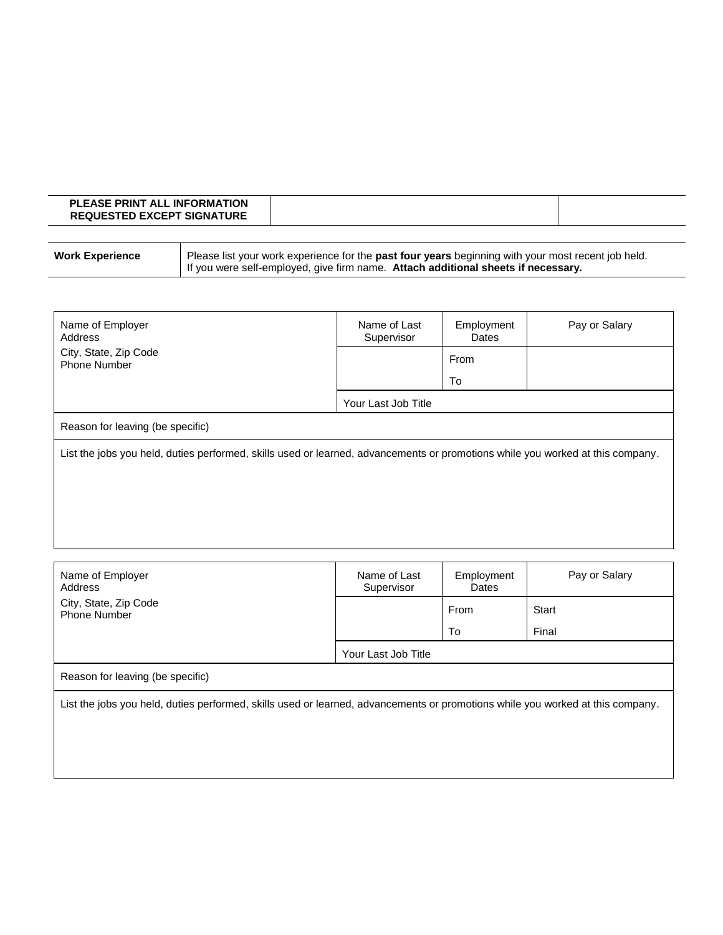| <b>PLEASE PRINT ALL INFORMATION</b><br><b>REQUESTED EXCEPT SIGNATURE</b> |  |
|--------------------------------------------------------------------------|--|
|                                                                          |  |

| <b>Work Experience</b> | Please list your work experience for the past four years beginning with your most recent job held. |
|------------------------|----------------------------------------------------------------------------------------------------|
|                        | If you were self-employed, give firm name. Attach additional sheets if necessary.                  |

| Name of Employer<br>Address                                                                                                    | Name of Last<br>Supervisor | Employment<br>Dates | Pay or Salary |  |
|--------------------------------------------------------------------------------------------------------------------------------|----------------------------|---------------------|---------------|--|
| City, State, Zip Code<br><b>Phone Number</b>                                                                                   |                            | From                |               |  |
|                                                                                                                                |                            | To                  |               |  |
|                                                                                                                                | Your Last Job Title        |                     |               |  |
| Reason for leaving (be specific)                                                                                               |                            |                     |               |  |
| List the jobs you held, duties performed, skills used or learned, advancements or promotions while you worked at this company. |                            |                     |               |  |
|                                                                                                                                |                            |                     |               |  |
|                                                                                                                                |                            |                     |               |  |
|                                                                                                                                |                            |                     |               |  |

| Name of Employer<br>Address                                                                                                    | Name of Last<br>Supervisor | Employment<br>Dates | Pay or Salary |  |
|--------------------------------------------------------------------------------------------------------------------------------|----------------------------|---------------------|---------------|--|
| City, State, Zip Code<br><b>Phone Number</b>                                                                                   |                            | From                | Start         |  |
|                                                                                                                                |                            | To                  | Final         |  |
|                                                                                                                                | Your Last Job Title        |                     |               |  |
| Reason for leaving (be specific)                                                                                               |                            |                     |               |  |
| List the jobs you held, duties performed, skills used or learned, advancements or promotions while you worked at this company. |                            |                     |               |  |
|                                                                                                                                |                            |                     |               |  |
|                                                                                                                                |                            |                     |               |  |
|                                                                                                                                |                            |                     |               |  |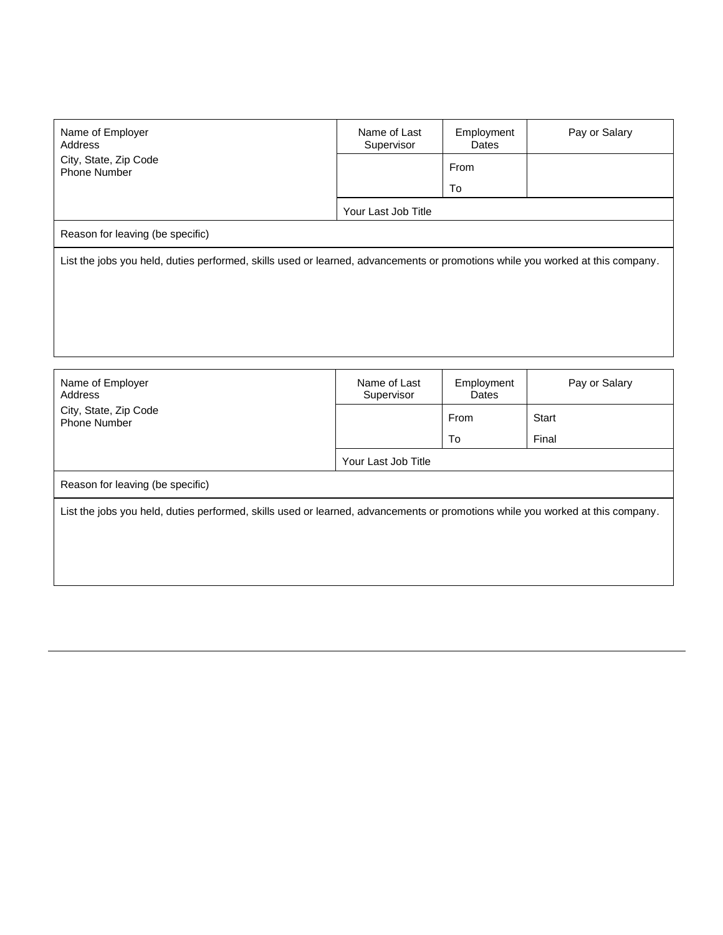| Name of Employer<br>Address                                                                                                    | Name of Last<br>Supervisor | Employment<br>Dates | Pay or Salary |  |
|--------------------------------------------------------------------------------------------------------------------------------|----------------------------|---------------------|---------------|--|
| City, State, Zip Code<br><b>Phone Number</b>                                                                                   |                            | From                |               |  |
|                                                                                                                                |                            | To                  |               |  |
|                                                                                                                                | Your Last Job Title        |                     |               |  |
| Reason for leaving (be specific)                                                                                               |                            |                     |               |  |
| List the jobs you held, duties performed, skills used or learned, advancements or promotions while you worked at this company. |                            |                     |               |  |

| Name of Employer<br>Address                                                                                                    | Name of Last<br>Supervisor | Employment<br>Dates | Pay or Salary |  |  |
|--------------------------------------------------------------------------------------------------------------------------------|----------------------------|---------------------|---------------|--|--|
| City, State, Zip Code<br>Phone Number                                                                                          |                            | From                | Start         |  |  |
|                                                                                                                                |                            | To                  | Final         |  |  |
|                                                                                                                                | Your Last Job Title        |                     |               |  |  |
| Reason for leaving (be specific)                                                                                               |                            |                     |               |  |  |
| List the jobs you held, duties performed, skills used or learned, advancements or promotions while you worked at this company. |                            |                     |               |  |  |
|                                                                                                                                |                            |                     |               |  |  |
|                                                                                                                                |                            |                     |               |  |  |
|                                                                                                                                |                            |                     |               |  |  |